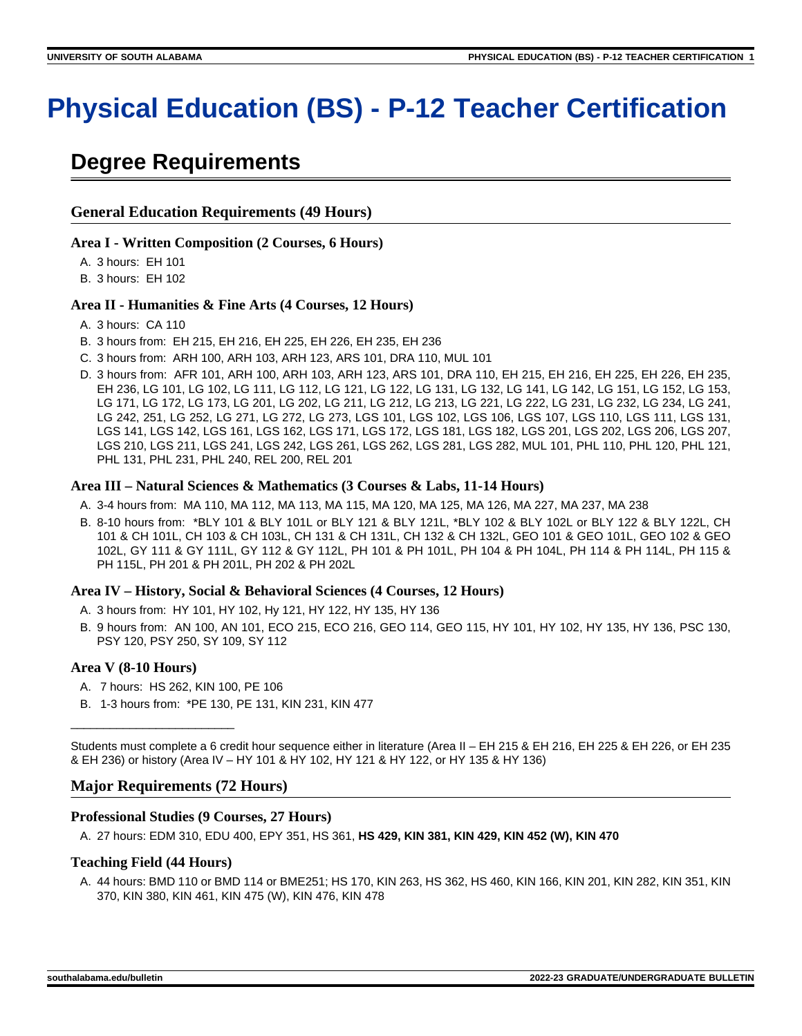# **Physical Education (BS) - P-12 Teacher Certification**

# **Degree Requirements**

# **General Education Requirements (49 Hours)**

## **Area I - Written Composition (2 Courses, 6 Hours)**

A. 3 hours: EH 101

B. 3 hours: EH 102

# **Area II - Humanities & Fine Arts (4 Courses, 12 Hours)**

- A. 3 hours: CA 110
- B. 3 hours from: EH 215, EH 216, EH 225, EH 226, EH 235, EH 236
- C. 3 hours from: ARH 100, ARH 103, ARH 123, ARS 101, DRA 110, MUL 101
- D. 3 hours from: AFR 101, ARH 100, ARH 103, ARH 123, ARS 101, DRA 110, EH 215, EH 216, EH 225, EH 226, EH 235, EH 236, LG 101, LG 102, LG 111, LG 112, LG 121, LG 122, LG 131, LG 132, LG 141, LG 142, LG 151, LG 152, LG 153, LG 171, LG 172, LG 173, LG 201, LG 202, LG 211, LG 212, LG 213, LG 221, LG 222, LG 231, LG 232, LG 234, LG 241, LG 242, 251, LG 252, LG 271, LG 272, LG 273, LGS 101, LGS 102, LGS 106, LGS 107, LGS 110, LGS 111, LGS 131, LGS 141, LGS 142, LGS 161, LGS 162, LGS 171, LGS 172, LGS 181, LGS 182, LGS 201, LGS 202, LGS 206, LGS 207, LGS 210, LGS 211, LGS 241, LGS 242, LGS 261, LGS 262, LGS 281, LGS 282, MUL 101, PHL 110, PHL 120, PHL 121, PHL 131, PHL 231, PHL 240, REL 200, REL 201

### **Area III – Natural Sciences & Mathematics (3 Courses & Labs, 11-14 Hours)**

- A. 3-4 hours from: MA 110, MA 112, MA 113, MA 115, MA 120, MA 125, MA 126, MA 227, MA 237, MA 238
- B. 8-10 hours from: \*BLY 101 & BLY 101L or BLY 121 & BLY 121L, \*BLY 102 & BLY 102L or BLY 122 & BLY 122L, CH 101 & CH 101L, CH 103 & CH 103L, CH 131 & CH 131L, CH 132 & CH 132L, GEO 101 & GEO 101L, GEO 102 & GEO 102L, GY 111 & GY 111L, GY 112 & GY 112L, PH 101 & PH 101L, PH 104 & PH 104L, PH 114 & PH 114L, PH 115 & PH 115L, PH 201 & PH 201L, PH 202 & PH 202L

### **Area IV – History, Social & Behavioral Sciences (4 Courses, 12 Hours)**

- A. 3 hours from: HY 101, HY 102, Hy 121, HY 122, HY 135, HY 136
- B. 9 hours from: AN 100, AN 101, ECO 215, ECO 216, GEO 114, GEO 115, HY 101, HY 102, HY 135, HY 136, PSC 130, PSY 120, PSY 250, SY 109, SY 112

# **Area V (8-10 Hours)**

\_\_\_\_\_\_\_\_\_\_\_\_\_\_\_\_\_\_\_\_\_\_\_\_\_

- A. 7 hours: HS 262, KIN 100, PE 106
- B. 1-3 hours from: \*PE 130, PE 131, KIN 231, KIN 477

Students must complete a 6 credit hour sequence either in literature (Area II – EH 215 & EH 216, EH 225 & EH 226, or EH 235 & EH 236) or history (Area IV – HY 101 & HY 102, HY 121 & HY 122, or HY 135 & HY 136)

# **Major Requirements (72 Hours)**

# **Professional Studies (9 Courses, 27 Hours)**

A. 27 hours: EDM 310, EDU 400, EPY 351, HS 361, **HS 429, KIN 381, KIN 429, KIN 452 (W), KIN 470**

### **Teaching Field (44 Hours)**

A. 44 hours: BMD 110 or BMD 114 or BME251; HS 170, KIN 263, HS 362, HS 460, KIN 166, KIN 201, KIN 282, KIN 351, KIN 370, KIN 380, KIN 461, KIN 475 (W), KIN 476, KIN 478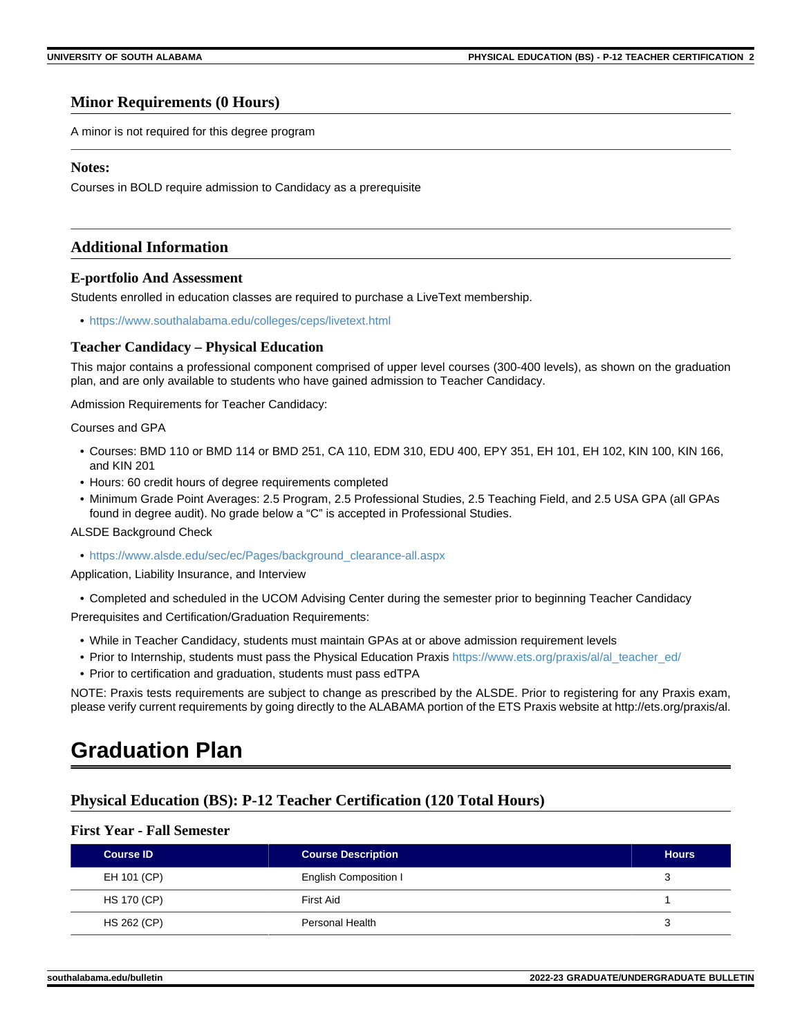## **Minor Requirements (0 Hours)**

A minor is not required for this degree program

### **Notes:**

Courses in BOLD require admission to Candidacy as a prerequisite

## **Additional Information**

### **E-portfolio And Assessment**

Students enrolled in education classes are required to purchase a LiveText membership.

• <https://www.southalabama.edu/colleges/ceps/livetext.html>

### **Teacher Candidacy – Physical Education**

This major contains a professional component comprised of upper level courses (300-400 levels), as shown on the graduation plan, and are only available to students who have gained admission to Teacher Candidacy.

Admission Requirements for Teacher Candidacy:

### Courses and GPA

- Courses: BMD 110 or BMD 114 or BMD 251, CA 110, EDM 310, EDU 400, EPY 351, EH 101, EH 102, KIN 100, KIN 166, and KIN 201
- Hours: 60 credit hours of degree requirements completed
- Minimum Grade Point Averages: 2.5 Program, 2.5 Professional Studies, 2.5 Teaching Field, and 2.5 USA GPA (all GPAs found in degree audit). No grade below a "C" is accepted in Professional Studies.

### ALSDE Background Check

• [https://www.alsde.edu/sec/ec/Pages/background\\_clearance-all.aspx](https://www.alsde.edu/sec/ec/Pages/background_clearance-all.aspx)

Application, Liability Insurance, and Interview

• Completed and scheduled in the UCOM Advising Center during the semester prior to beginning Teacher Candidacy Prerequisites and Certification/Graduation Requirements:

- While in Teacher Candidacy, students must maintain GPAs at or above admission requirement levels
- Prior to Internship, students must pass the Physical Education Praxis [https://www.ets.org/praxis/al/al\\_teacher\\_ed/](https://www.ets.org/praxis/al/al_teacher_ed/)
- Prior to certification and graduation, students must pass edTPA

NOTE: Praxis tests requirements are subject to change as prescribed by the ALSDE. Prior to registering for any Praxis exam, please verify current requirements by going directly to the ALABAMA portion of the ETS Praxis website at http://ets.org/praxis/al.

# **Graduation Plan**

# **Physical Education (BS): P-12 Teacher Certification (120 Total Hours)**

# **First Year - Fall Semester**

| <b>Course ID</b>   | <b>Course Description</b> | <b>Hours</b> |
|--------------------|---------------------------|--------------|
| EH 101 (CP)        | English Composition I     | ບ            |
| <b>HS 170 (CP)</b> | First Aid                 |              |
| HS 262 (CP)        | Personal Health           | ບ            |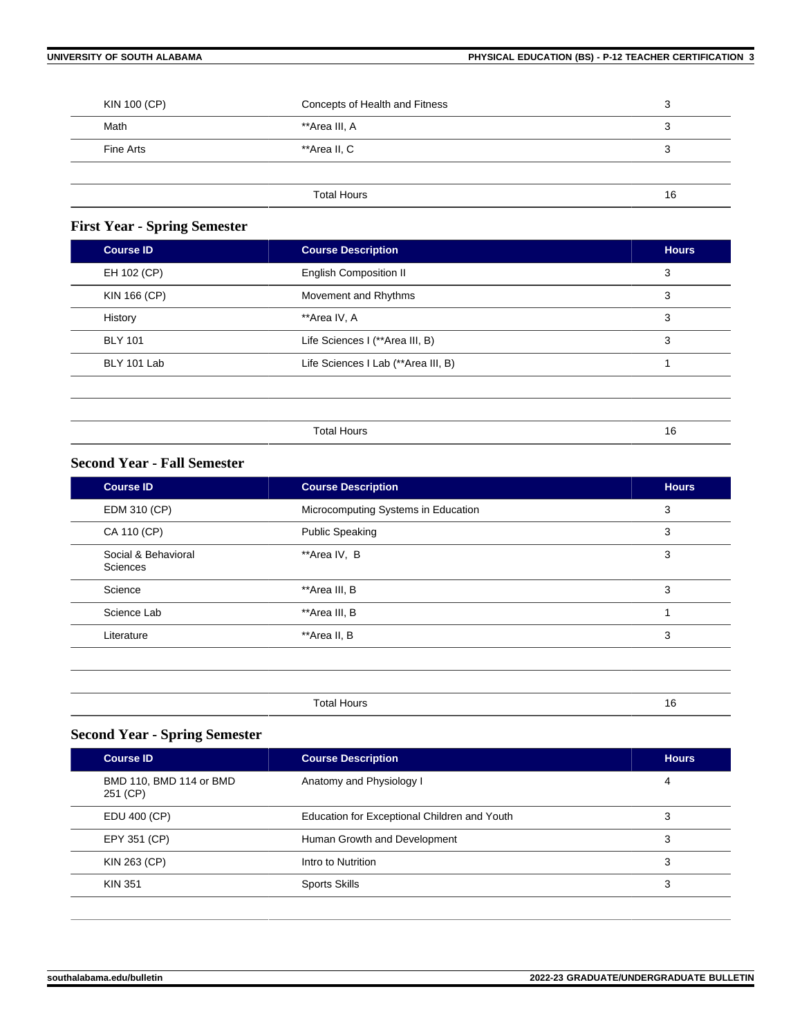| KIN 100 (CP)<br>Concepts of Health and Fitness |                    | c<br>ບ  |
|------------------------------------------------|--------------------|---------|
| Math                                           | **Area III, A      | ว<br>رب |
| Fine Arts                                      | **Area II, C       | 3       |
|                                                |                    |         |
|                                                | <b>Total Hours</b> | 16      |

# **First Year - Spring Semester**

| <b>Course ID</b> | <b>Course Description</b>           | <b>Hours</b> |
|------------------|-------------------------------------|--------------|
| EH 102 (CP)      | <b>English Composition II</b>       | 3            |
| KIN 166 (CP)     | Movement and Rhythms                | 3            |
| History          | **Area IV, A                        | 3            |
| <b>BLY 101</b>   | Life Sciences I (**Area III, B)     | 3            |
| BLY 101 Lab      | Life Sciences I Lab (**Area III, B) |              |
|                  |                                     |              |
|                  |                                     |              |
|                  | <b>Total Hours</b>                  | 16           |

# **Second Year - Fall Semester**

| <b>Course ID</b>                | <b>Course Description</b>           | <b>Hours</b> |
|---------------------------------|-------------------------------------|--------------|
| EDM 310 (CP)                    | Microcomputing Systems in Education | 3            |
| CA 110 (CP)                     | <b>Public Speaking</b>              | 3            |
| Social & Behavioral<br>Sciences | **Area IV, B                        | 3            |
| Science                         | **Area III, B                       | 3            |
| Science Lab                     | **Area III, B                       |              |
| Literature                      | **Area II, B                        | 3            |
|                                 |                                     |              |
|                                 |                                     |              |

| Total Hours | 16<br>$\cdot$ $\cdot$ |
|-------------|-----------------------|
|-------------|-----------------------|

# **Second Year - Spring Semester**

| <b>Course ID</b>                    | <b>Course Description</b>                    | <b>Hours</b> |
|-------------------------------------|----------------------------------------------|--------------|
| BMD 110, BMD 114 or BMD<br>251 (CP) | Anatomy and Physiology I                     | 4            |
| EDU 400 (CP)                        | Education for Exceptional Children and Youth | 3            |
| EPY 351 (CP)                        | Human Growth and Development                 | 3            |
| KIN 263 (CP)                        | Intro to Nutrition                           | 3            |
| <b>KIN 351</b>                      | <b>Sports Skills</b>                         | 3            |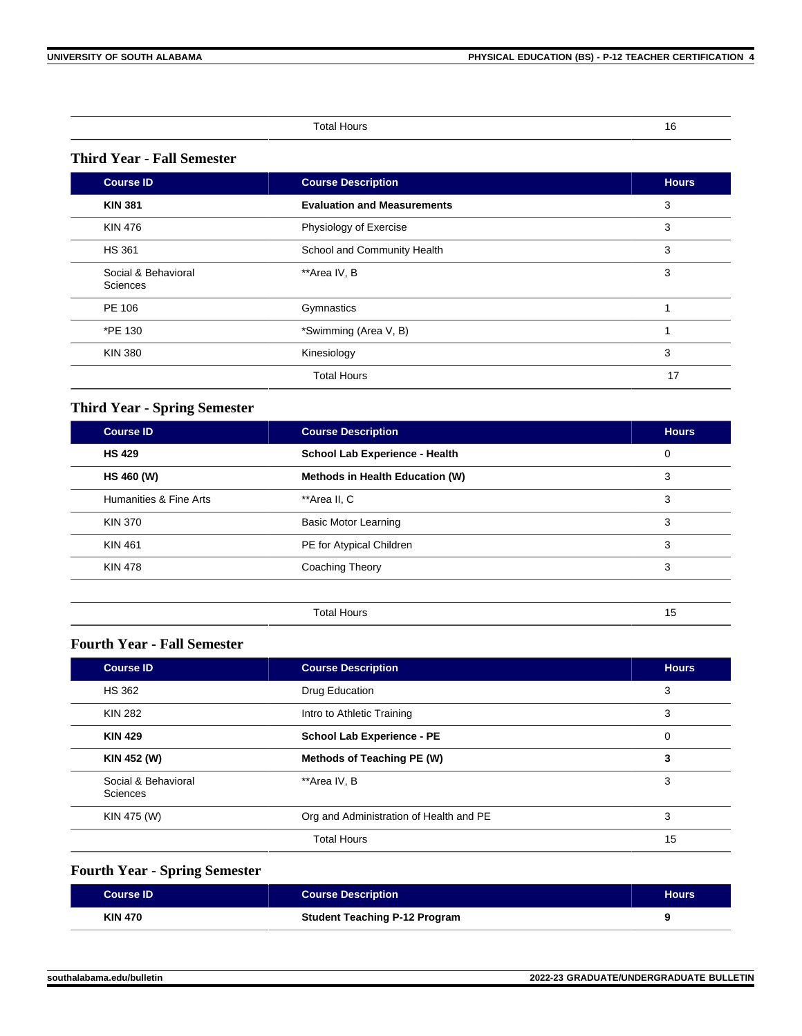| п      |  |   |
|--------|--|---|
| $\sim$ |  | . |

# **Third Year - Fall Semester**

| <b>Course ID</b>                | <b>Course Description</b>          | <b>Hours</b> |
|---------------------------------|------------------------------------|--------------|
| <b>KIN 381</b>                  | <b>Evaluation and Measurements</b> | 3            |
| <b>KIN 476</b>                  | Physiology of Exercise             | 3            |
| <b>HS 361</b>                   | School and Community Health        | 3            |
| Social & Behavioral<br>Sciences | **Area IV, B                       | 3            |
| PE 106                          | Gymnastics                         |              |
| *PE 130                         | *Swimming (Area V, B)              |              |
| <b>KIN 380</b>                  | Kinesiology                        | 3            |
|                                 | <b>Total Hours</b>                 | 17           |

# **Third Year - Spring Semester**

| Course ID              | <b>Course Description</b>       | <b>Hours</b> |
|------------------------|---------------------------------|--------------|
| <b>HS 429</b>          | School Lab Experience - Health  | 0            |
| <b>HS 460 (W)</b>      | Methods in Health Education (W) | 3            |
| Humanities & Fine Arts | **Area II, C                    | 3            |
| <b>KIN 370</b>         | <b>Basic Motor Learning</b>     | 3            |
| <b>KIN 461</b>         | PE for Atypical Children        | 3            |
| <b>KIN 478</b>         | Coaching Theory                 | 3            |
|                        |                                 |              |
|                        | <b>Total Hours</b>              | 15           |

# **Fourth Year - Fall Semester**

| <b>Course ID</b>                | <b>Course Description</b>               |    |
|---------------------------------|-----------------------------------------|----|
| <b>HS 362</b>                   | Drug Education                          | 3  |
| <b>KIN 282</b>                  | Intro to Athletic Training              | 3  |
| <b>KIN 429</b>                  | <b>School Lab Experience - PE</b>       | 0  |
| KIN 452 (W)                     | Methods of Teaching PE (W)              | 3  |
| Social & Behavioral<br>Sciences | **Area IV. B                            | 3  |
| KIN 475 (W)                     | Org and Administration of Health and PE | 3  |
|                                 | <b>Total Hours</b>                      | 15 |

# **Fourth Year - Spring Semester**

| <b>Course ID</b> | <b>Course Description</b>            | <b>Hours</b> |
|------------------|--------------------------------------|--------------|
| <b>KIN 470</b>   | <b>Student Teaching P-12 Program</b> |              |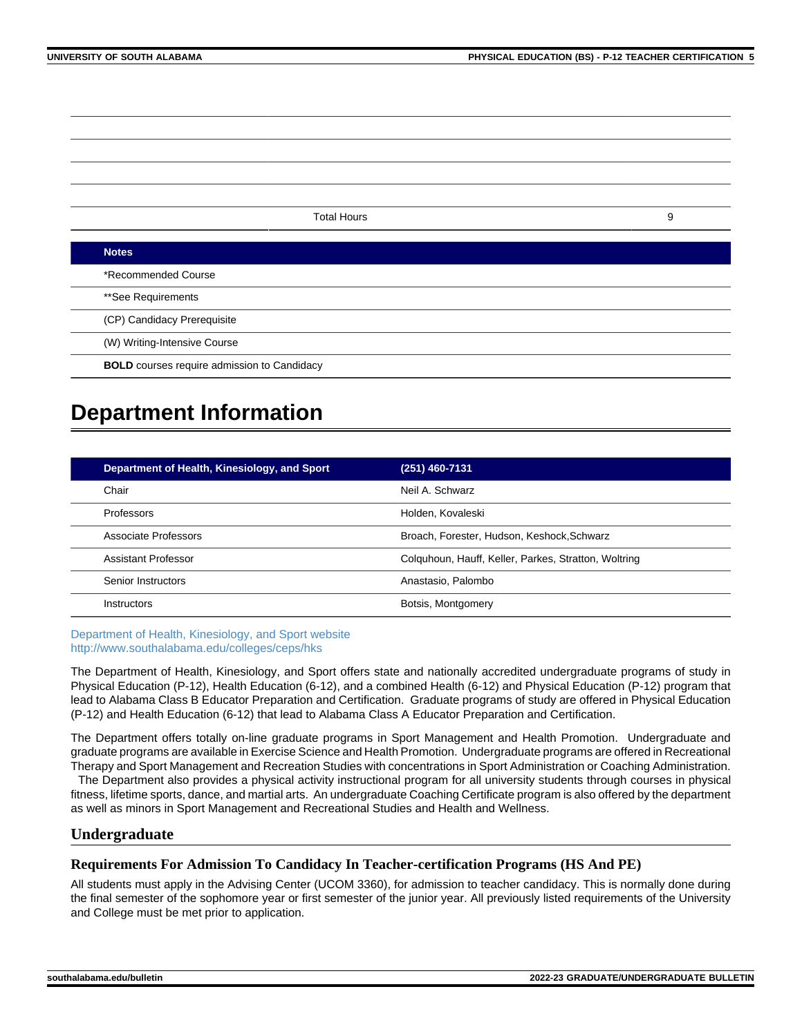Total Hours 9 **Notes** \*Recommended Course \*\*See Requirements (CP) Candidacy Prerequisite (W) Writing-Intensive Course **BOLD** courses require admission to Candidacy

# **Department Information**

| Department of Health, Kinesiology, and Sport | (251) 460-7131                                       |
|----------------------------------------------|------------------------------------------------------|
| Chair                                        | Neil A. Schwarz                                      |
| Professors                                   | Holden, Kovaleski                                    |
| Associate Professors                         | Broach, Forester, Hudson, Keshock, Schwarz           |
| Assistant Professor                          | Colquhoun, Hauff, Keller, Parkes, Stratton, Woltring |
| Senior Instructors                           | Anastasio, Palombo                                   |
| <b>Instructors</b>                           | Botsis, Montgomery                                   |

[Department of Health, Kinesiology, and Sport website](https://www.southalabama.edu/colleges/ceps/hks) [http://www.southalabama.edu/colleges/ceps/hks](https://www.southalabama.edu/colleges/ceps/hks)

The Department of Health, Kinesiology, and Sport offers state and nationally accredited undergraduate programs of study in Physical Education (P-12), Health Education (6-12), and a combined Health (6-12) and Physical Education (P-12) program that lead to Alabama Class B Educator Preparation and Certification. Graduate programs of study are offered in Physical Education (P-12) and Health Education (6-12) that lead to Alabama Class A Educator Preparation and Certification.

The Department offers totally on-line graduate programs in Sport Management and Health Promotion. Undergraduate and graduate programs are available in Exercise Science and Health Promotion. Undergraduate programs are offered in Recreational Therapy and Sport Management and Recreation Studies with concentrations in Sport Administration or Coaching Administration.

 The Department also provides a physical activity instructional program for all university students through courses in physical fitness, lifetime sports, dance, and martial arts. An undergraduate Coaching Certificate program is also offered by the department as well as minors in Sport Management and Recreational Studies and Health and Wellness.

# **Undergraduate**

# **Requirements For Admission To Candidacy In Teacher-certification Programs (HS And PE)**

All students must apply in the Advising Center (UCOM 3360), for admission to teacher candidacy. This is normally done during the final semester of the sophomore year or first semester of the junior year. All previously listed requirements of the University and College must be met prior to application.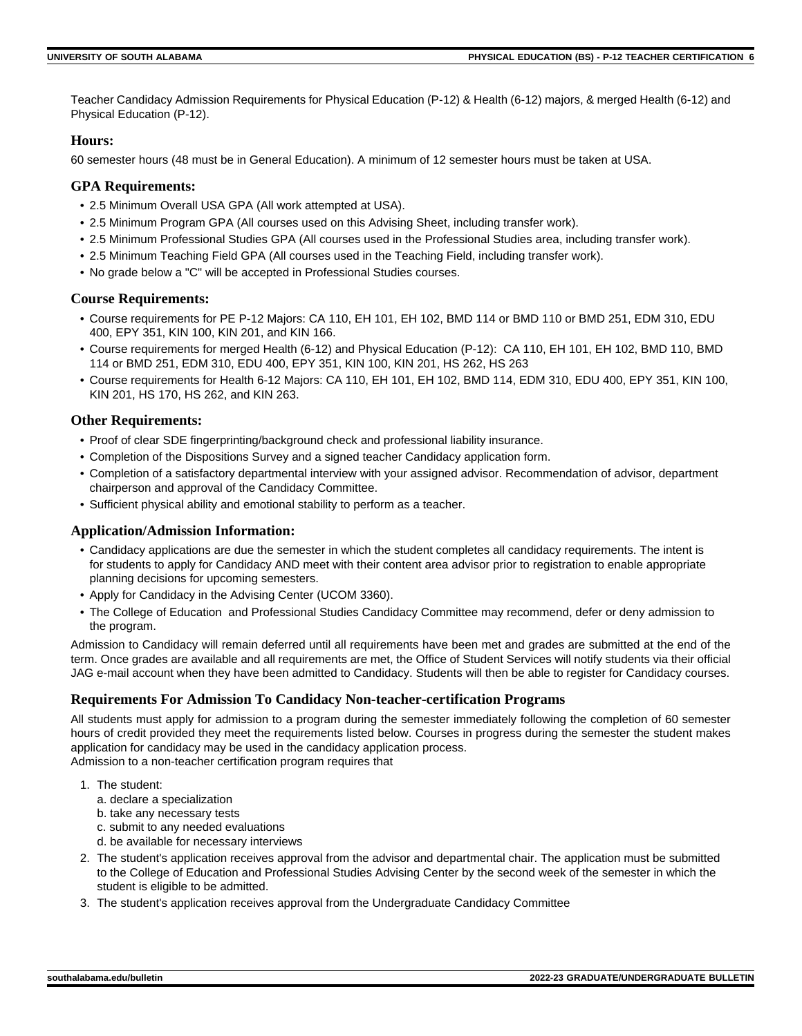Teacher Candidacy Admission Requirements for Physical Education (P-12) & Health (6-12) majors, & merged Health (6-12) and Physical Education (P-12).

# **Hours:**

60 semester hours (48 must be in General Education). A minimum of 12 semester hours must be taken at USA.

# **GPA Requirements:**

- 2.5 Minimum Overall USA GPA (All work attempted at USA).
- 2.5 Minimum Program GPA (All courses used on this Advising Sheet, including transfer work).
- 2.5 Minimum Professional Studies GPA (All courses used in the Professional Studies area, including transfer work).
- 2.5 Minimum Teaching Field GPA (All courses used in the Teaching Field, including transfer work).
- No grade below a "C" will be accepted in Professional Studies courses.

# **Course Requirements:**

- Course requirements for PE P-12 Majors: CA 110, EH 101, EH 102, BMD 114 or BMD 110 or BMD 251, EDM 310, EDU 400, EPY 351, KIN 100, KIN 201, and KIN 166.
- Course requirements for merged Health (6-12) and Physical Education (P-12): CA 110, EH 101, EH 102, BMD 110, BMD 114 or BMD 251, EDM 310, EDU 400, EPY 351, KIN 100, KIN 201, HS 262, HS 263
- Course requirements for Health 6-12 Majors: CA 110, EH 101, EH 102, BMD 114, EDM 310, EDU 400, EPY 351, KIN 100, KIN 201, HS 170, HS 262, and KIN 263.

# **Other Requirements:**

- Proof of clear SDE fingerprinting/background check and professional liability insurance.
- Completion of the Dispositions Survey and a signed teacher Candidacy application form.
- Completion of a satisfactory departmental interview with your assigned advisor. Recommendation of advisor, department chairperson and approval of the Candidacy Committee.
- Sufficient physical ability and emotional stability to perform as a teacher.

# **Application/Admission Information:**

- Candidacy applications are due the semester in which the student completes all candidacy requirements. The intent is for students to apply for Candidacy AND meet with their content area advisor prior to registration to enable appropriate planning decisions for upcoming semesters.
- Apply for Candidacy in the Advising Center (UCOM 3360).
- The College of Education and Professional Studies Candidacy Committee may recommend, defer or deny admission to the program.

Admission to Candidacy will remain deferred until all requirements have been met and grades are submitted at the end of the term. Once grades are available and all requirements are met, the Office of Student Services will notify students via their official JAG e-mail account when they have been admitted to Candidacy. Students will then be able to register for Candidacy courses.

# **Requirements For Admission To Candidacy Non-teacher-certification Programs**

All students must apply for admission to a program during the semester immediately following the completion of 60 semester hours of credit provided they meet the requirements listed below. Courses in progress during the semester the student makes application for candidacy may be used in the candidacy application process. Admission to a non-teacher certification program requires that

- 1. The student:
	- a. declare a specialization
	- b. take any necessary tests
	- c. submit to any needed evaluations
	- d. be available for necessary interviews
- 2. The student's application receives approval from the advisor and departmental chair. The application must be submitted to the College of Education and Professional Studies Advising Center by the second week of the semester in which the student is eligible to be admitted.
- 3. The student's application receives approval from the Undergraduate Candidacy Committee